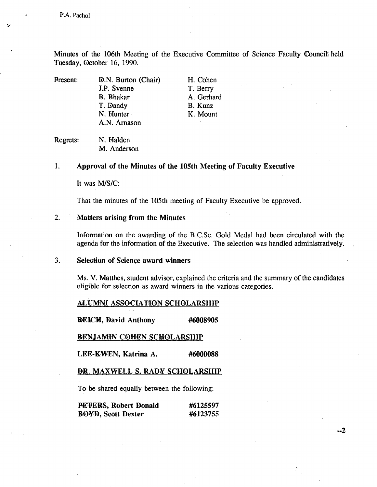Minutes of the 106th Meeting of the Executive Committee of Science Faculty Councils held Tuesday, October 16, 1990.

Present: **D.N. Burton (Chair)** H. Cohen **J.P.** Svenne T. Berry B. Bhakar A. Gerhard T. Dandy B. Kunz N. Hunter K. Mount A.N. Arnason

Regrets: N. Halden M. Anderson

## 1. **Approval of the Minutes of the 105th Meeting of Faculty Executive**

It was M/S/C:

That the minutes of the 105th meeting of Faculty Executive be approved.

#### $2.$ **Matters arising from the Minutes**

Information on the awarding of the B.C.Sc. Gold Medal had been circulated with the agenda for the information of the Executive. The selection was handled administratively.

#### $3.$ **Selection of Science award winners**

Ms. V. Matthes, student advisor, explained the criteria and the summary of the candidates eligible for selection as award winners in the various categories.

### AiLUMNI **ASSOCIATION SCHOLARSHIP**

**REICH, David Anthony #6008905** 

**RENJAMIN COHEN SCHOLARSHIP** 

**LEE-KWEN, Katrina A. #6000088** 

## **DR.** MAXWELL S. **RADY SCHOLARSHIP**

To be shared equally between the following:

| PETERS, Robert Donald     | #6125597 |
|---------------------------|----------|
| <b>BOYD, Scott Dexter</b> | #6123755 |

 $-2$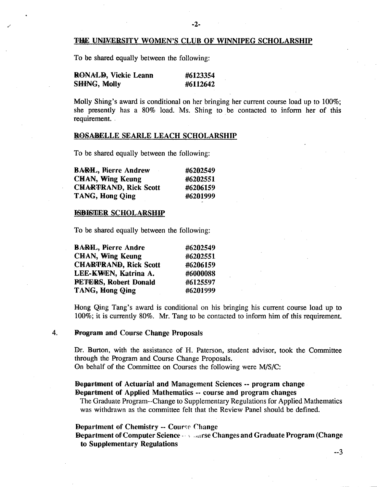### THE UNIVERSITY WOMEN'S CLUB OF WINNIPEG SCHOLARSHIP

To be shared equally between the following:

| <b>RONALD, Vickie Leann</b> | #6123354 |
|-----------------------------|----------|
| <b>SHING, Molly</b>         | #6112642 |

Molly Shing's award is conditional on her bringing her current course load up to 100%; she presently has a 80% load. Ms. Shing to be contacted to infonn her of this requirement.

#### **ROSABELLE SEARLE LEACH SCHOLARSHIP**

To be shared equally between the following:

| <b>BARH.</b> , Pierre Andrew | #6202549 |
|------------------------------|----------|
| <b>CHAN, Wing Keung</b>      | #6202551 |
| <b>CHARTRAND, Rick Scott</b> | #6206159 |
| TANG, Hong Qing              | #6201999 |

#### **ISBISTER SCHOLARSHIP**

To be shared equally between the following:

| <b>BARH.</b> , Pierre Andre  | #6202549 |
|------------------------------|----------|
| <b>CHAN, Wing Keung</b>      | #6202551 |
| <b>CHARTRAND, Rick Scott</b> | #6206159 |
| LEE-KWEN, Katrina A.         | #6000088 |
| <b>PETERS, Robert Donald</b> | #6125597 |
| TANG, Hong Qing              | #6201999 |

Hong Qing Tang's award is conditional on his bringing his current course load up to 100%; it is currently 80%. Mr. Tang to be contacted to inform him of this requirement.

# **0 Program and Course Change Proposals**

Dr. Burton, with the assistance of H. Paterson, student advisor, took the Committee through the Program and Course Change Proposals. On behalf of the Committee on Courses the following were *MIS/C:* 

**Department of Actuarial and Management Sciences -- program change Department of Applied Mathematics** -- **course and program changes** 

The Graduate Program--Change to Supplementary Regulations for Applied Mathematics was withdrawn as the committee felt that the Review Panel should be defined.

### **Department of Chemistry** -- Coure **Change**

**Department of Computer Science - urse Changes and Graduate Program (Change to Supplementary Regulations**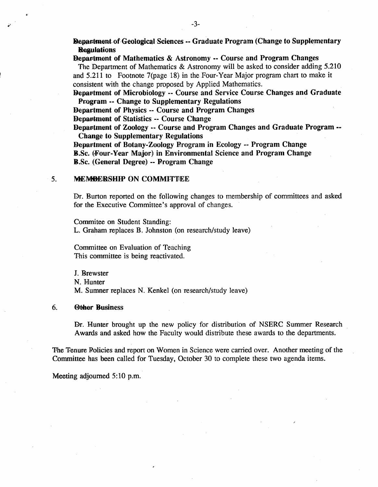**Repartment of Geological Sciences -- Graduate Program (Change to Supplementary Regulations** 

# **Department of Mathematics & Astronomy** -- **Course and Program Changes**

The Department of Mathematics & Astronomy will be asked to consider adding 5.210 and 5.211 to Footnote 7(page 18) in the Four-Year Major program chart to make it consistent with the change proposed by Applied Mathematics.

**Department of Microbiology** -- **Course and Service Course Changes and Graduate Program** -- **Change to Supplementary Regulations** 

**Department** of Physics -- **Course and Program Changes** 

**Department of Statistics** -- **Course Change** 

**Department of Zoology** -- **Course and Program Changes and Graduate Program Change to Supplementary Regulations** 

**Department of Botany-Zoology Program in Ecology -- Program Change B.Sc. (Four-Year Major) in Environmental Science and Program Change B.Sc. (General Degree) -- Program Change** 

#### 5. **MEM4WRSHIP ON COMMITTEE**

Dr. Burton reported on the following changes to membership of committees and asked for the Executive Committee's approval of changes.

Commitee on Student Standing:

L. Graham replaces B. Johnston (on research/study leave)

Committee on Evaluation of Teaching This committee is being reactivated.

J. Brewster N. Hunter M. Sumner replaces N. Kenkel (on research/study leave)

### 6. **Olher Business**

Dr. Hunter brought up the new policy for distribution of NSERC Summer Research Awards and asked how the Faculty would distribute these awards to the departments.

The Tenure Policies and report on Women in Science were carried over. Another meeting of the Committee has been called for Tuesday, October 30 to complete these two agenda items.

Meeting adjourned 5:10 p.m.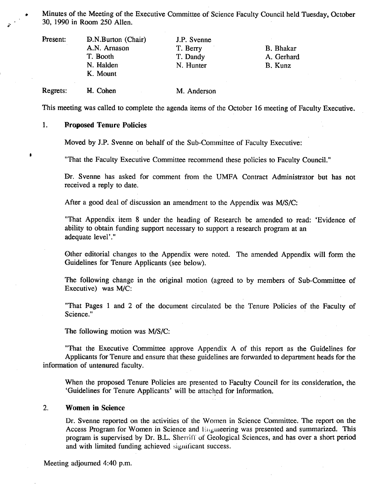. Minutes of the Meeting of the Executive Committee of Science Faculty Council held Tuesday, October 30, 1990 in Room *250* Allen.

| Present: | D.N.Burton (Chair)<br>J.P. Svenne |           |            |  |
|----------|-----------------------------------|-----------|------------|--|
|          | A.N. Arnason                      | T. Berry  | B. Bhakar  |  |
|          | T. Booth                          | T. Dandy  | A. Gerhard |  |
|          | N. Halden                         | N. Hunter | B. Kunz    |  |
|          | K. Mount                          |           |            |  |
|          |                                   |           |            |  |

Regrets: H. Cohen M. Anderson

This meeting was called to complete the agenda items of the October 16 meeting of Faculty Executive.

#### 1. **Proposed Tenure Policies**

a

Moved by J.P. Svenne on behalf of the Sub-Committee of Faculty Executive:

"That the Faculty Executive Committee recommend these policies to Faculty Council."

Dr. Svenne has asked for comment from the UMFA Contract Administrator but has not received a reply to date.

After a good deal of discussion an amendment to the Appendix was MIS/C:

"That Appendix item 8 under the heading of Research be amended to read: 'Evidence of ability to obtain funding support necessary to support a research program at an adequate level'."

Other editorial changes to the Appendix were noted. The amended Appendix will form the Guidelines for Tenure Applicants (see below).

The following change in the original motion (agreed to by members of Sub-Committee of Executive) was M/C:

"That Pages 1 and 2 of the document circulated be the Tenure Policies of the Faculty of Science."

The following motion was *WS/C:* 

"That the Executive Committee approve Appendix A of this report as the Guidelines for Applicants for Tenure and ensure that these guidelines are forwarded to department heads for the information of untenured faculty.

When the proposed Tenure Policies are presented to Faculty Council for its consideration, the 'Guidelines for Tenure Applicants' will be attached for information,

#### $2.$ **Women in Science**

Dr. Svenne reported on the activities of the Women in Science Committee. The report on the Access Program for Women in Science and Higuneering was presented and summarized. This program is supervised by Dr. B.L. Sherrifl of Geological Sciences, and has over a short period and with limited funding achieved significant success.